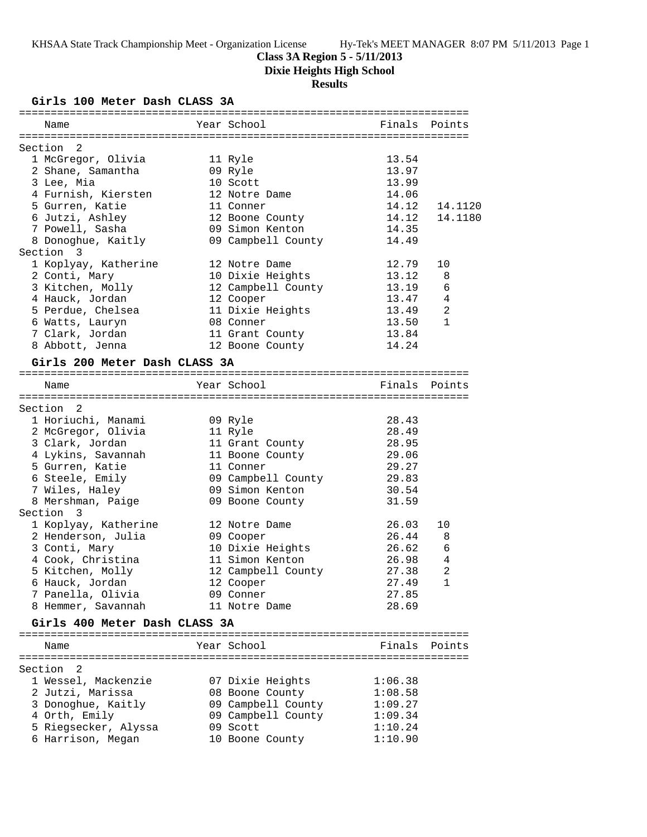## **Class 3A Region 5 - 5/11/2013**

**Dixie Heights High School**

# **Results**

**Girls 100 Meter Dash CLASS 3A**

| Name                                  | Year School         | Finals         | Points        |
|---------------------------------------|---------------------|----------------|---------------|
|                                       |                     |                |               |
| $\overline{\phantom{0}}^2$<br>Section |                     |                |               |
| 1 McGregor, Olivia                    | 11 Ryle             | 13.54<br>13.97 |               |
| 2 Shane, Samantha<br>3 Lee, Mia       | 09 Ryle<br>10 Scott | 13.99          |               |
| 4 Furnish, Kiersten                   | 12 Notre Dame       | 14.06          |               |
| 5 Gurren, Katie                       | 11 Conner           | 14.12          | 14.1120       |
| 6 Jutzi, Ashley                       | 12 Boone County     | 14.12          | 14.1180       |
| 7 Powell, Sasha                       | 09 Simon Kenton     | 14.35          |               |
| 8 Donoghue, Kaitly                    | 09 Campbell County  | 14.49          |               |
| Section 3                             |                     |                |               |
| 1 Koplyay, Katherine                  | 12 Notre Dame       | 12.79          | 10            |
| 2 Conti, Mary                         | 10 Dixie Heights    | 13.12          | 8             |
| 3 Kitchen, Molly                      | 12 Campbell County  | 13.19          | 6             |
| 4 Hauck, Jordan                       | 12 Cooper           | 13.47          | 4             |
| 5 Perdue, Chelsea                     | 11 Dixie Heights    | 13.49          | 2             |
| 6 Watts, Lauryn                       | 08 Conner           | 13.50          | $\mathbf{1}$  |
| 7 Clark, Jordan                       | 11 Grant County     | 13.84          |               |
| 8 Abbott, Jenna                       | 12 Boone County     | 14.24          |               |
| Girls 200 Meter Dash CLASS 3A         |                     |                |               |
| Name                                  | Year School         |                | Finals Points |
|                                       |                     |                |               |
| Section 2                             |                     |                |               |
| 1 Horiuchi, Manami                    | 09 Ryle             | 28.43          |               |
| 2 McGregor, Olivia                    | 11 Ryle             | 28.49          |               |
| 3 Clark, Jordan                       | 11 Grant County     | 28.95          |               |
| 4 Lykins, Savannah                    | 11 Boone County     | 29.06          |               |
| 5 Gurren, Katie                       | 11 Conner           | 29.27          |               |
| 6 Steele, Emily                       | 09 Campbell County  | 29.83          |               |
| 7 Wiles, Haley                        | 09 Simon Kenton     | 30.54          |               |
| 8 Mershman, Paige<br>Section 3        | 09 Boone County     | 31.59          |               |
| 1 Koplyay, Katherine                  | 12 Notre Dame       | 26.03          | 10            |
| 2 Henderson, Julia                    | 09 Cooper           | 26.44          | 8             |
| 3 Conti, Mary                         | 10 Dixie Heights    | 26.62          | 6             |
| 4 Cook, Christina                     | 11 Simon Kenton     | 26.98          | 4             |
| 5 Kitchen, Molly                      | 12 Campbell County  | 27.38          | 2             |
| 6 Hauck, Jordan                       | 12 Cooper           | 27.49          | $\mathbf{1}$  |
| 7 Panella, Olivia                     | 09 Conner           | 27.85          |               |
| 8 Hemmer, Savannah                    | 11 Notre Dame       | 28.69          |               |
| Girls 400 Meter Dash CLASS 3A         |                     |                |               |
|                                       |                     |                |               |
| Name                                  | Year School         |                | Finals Points |
|                                       |                     |                |               |
| Section 2                             |                     |                |               |
| 1 Wessel, Mackenzie                   | 07 Dixie Heights    | 1:06.38        |               |
| 2 Jutzi, Marissa                      | 08 Boone County     | 1:08.58        |               |
| 3 Donoghue, Kaitly                    | 09 Campbell County  | 1:09.27        |               |
| 4 Orth, Emily                         | 09 Campbell County  | 1:09.34        |               |
| 5 Riegsecker, Alyssa                  | 09 Scott            | 1:10.24        |               |
| 6 Harrison, Megan                     | 10 Boone County     | 1:10.90        |               |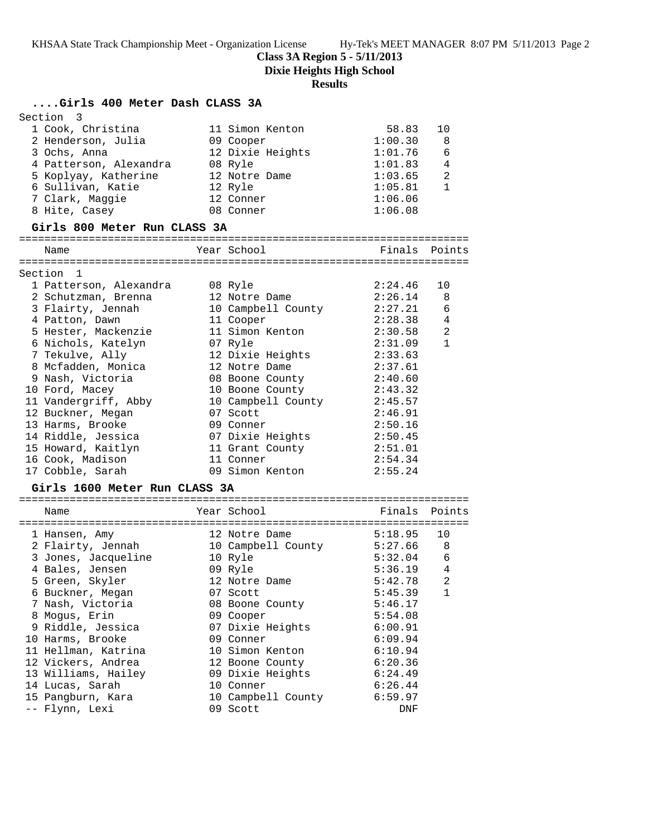**Class 3A Region 5 - 5/11/2013**

**Dixie Heights High School**

## **Results**

## **....Girls 400 Meter Dash CLASS 3A**

| Section 3              |                  |         |    |
|------------------------|------------------|---------|----|
| 1 Cook, Christina      | 11 Simon Kenton  | 58.83   | 10 |
| 2 Henderson, Julia     | 09 Cooper        | 1:00.30 | 8  |
| 3 Ochs, Anna           | 12 Dixie Heights | 1:01.76 | 6  |
| 4 Patterson, Alexandra | 08 Ryle          | 1:01.83 | 4  |
| 5 Koplyay, Katherine   | 12 Notre Dame    | 1:03.65 | 2  |
| 6 Sullivan, Katie      | 12 Ryle          | 1:05.81 |    |
| 7 Clark, Maggie        | 12 Conner        | 1:06.06 |    |
| 8 Hite, Casey          | 08 Conner        | 1:06.08 |    |

#### **Girls 800 Meter Run CLASS 3A**

=======================================================================

| Name                   | Year School        | Finals  | Points         |
|------------------------|--------------------|---------|----------------|
| Section 1              |                    |         |                |
| 1 Patterson, Alexandra | 08 Ryle            | 2:24.46 | 10             |
| 2 Schutzman, Brenna    | 12 Notre Dame      | 2:26.14 | - 8            |
|                        |                    | 2:27.21 | 6              |
| 3 Flairty, Jennah      | 10 Campbell County |         |                |
| 4 Patton, Dawn         | 11 Cooper          | 2:28.38 | $\overline{4}$ |
| 5 Hester, Mackenzie    | 11 Simon Kenton    | 2:30.58 | 2              |
| 6 Nichols, Katelyn     | 07 Ryle            | 2:31.09 | $\mathbf{1}$   |
| 7 Tekulve, Ally        | 12 Dixie Heights   | 2:33.63 |                |
| 8 Mcfadden, Monica     | 12 Notre Dame      | 2:37.61 |                |
| 9 Nash, Victoria       | 08 Boone County    | 2:40.60 |                |
| 10 Ford, Macey         | 10 Boone County    | 2:43.32 |                |
| 11 Vandergriff, Abby   | 10 Campbell County | 2:45.57 |                |
| 12 Buckner, Megan      | 07 Scott           | 2:46.91 |                |
| 13 Harms, Brooke       | 09 Conner          | 2:50.16 |                |
| 14 Riddle, Jessica     | 07 Dixie Heights   | 2:50.45 |                |
| 15 Howard, Kaitlyn     | 11 Grant County    | 2:51.01 |                |
| 16 Cook, Madison       | 11 Conner          | 2:54.34 |                |
| 17 Cobble, Sarah       | 09 Simon Kenton    | 2:55.24 |                |

## **Girls 1600 Meter Run CLASS 3A**

| Name                | Year School        | Finals  | Points         |
|---------------------|--------------------|---------|----------------|
|                     |                    |         |                |
| 1 Hansen, Amy       | 12 Notre Dame      | 5:18.95 | 10             |
| 2 Flairty, Jennah   | 10 Campbell County | 5:27.66 | 8              |
| 3 Jones, Jacqueline | 10 Ryle            | 5:32.04 | 6              |
| 4 Bales, Jensen     | 09 Ryle            | 5:36.19 | 4              |
| 5 Green, Skyler     | 12 Notre Dame      | 5:42.78 | $\mathfrak{D}$ |
| 6 Buckner, Megan    | 07 Scott           | 5:45.39 | 1              |
| 7 Nash, Victoria    | 08 Boone County    | 5:46.17 |                |
| 8 Moqus, Erin       | 09 Cooper          | 5:54.08 |                |
| 9 Riddle, Jessica   | 07 Dixie Heights   | 6:00.91 |                |
| 10 Harms, Brooke    | 09 Conner          | 6:09.94 |                |
| 11 Hellman, Katrina | 10 Simon Kenton    | 6:10.94 |                |
| 12 Vickers, Andrea  | 12 Boone County    | 6:20.36 |                |
| 13 Williams, Hailey | 09 Dixie Heights   | 6:24.49 |                |
| 14 Lucas, Sarah     | 10 Conner          | 6:26.44 |                |
| 15 Pangburn, Kara   | 10 Campbell County | 6:59.97 |                |
| -- Flynn, Lexi      | 09 Scott           | DNF     |                |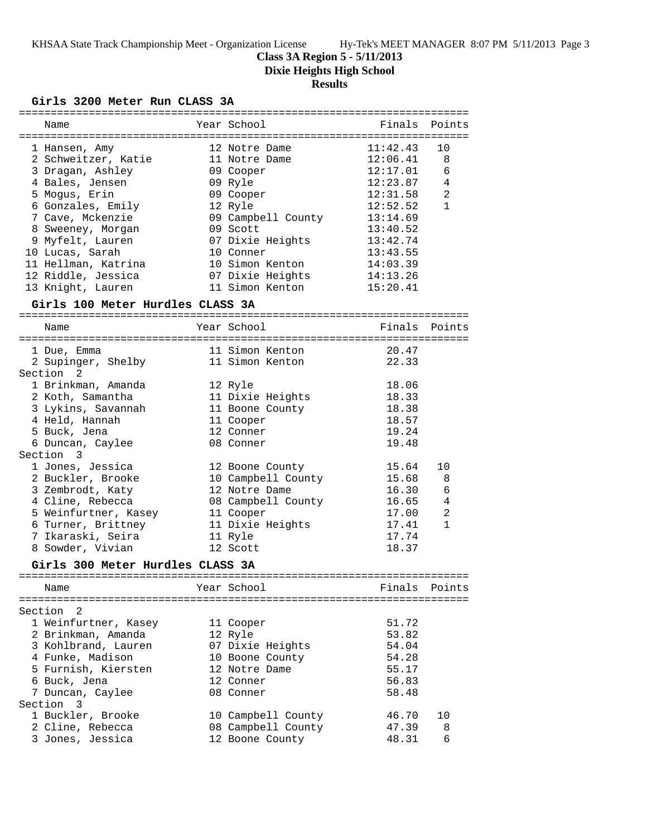## **Class 3A Region 5 - 5/11/2013**

**Dixie Heights High School**

## **Results**

### **Girls 3200 Meter Run CLASS 3A**

| Name                                  | Year School        | Finals   | Points         |
|---------------------------------------|--------------------|----------|----------------|
|                                       |                    |          |                |
| 1 Hansen, Amy                         | 12 Notre Dame      | 11:42.43 | 10             |
| 2 Schweitzer, Katie                   | 11 Notre Dame      | 12:06.41 | 8              |
| 3 Dragan, Ashley                      | 09 Cooper          | 12:17.01 | 6              |
| 4 Bales, Jensen                       | 09 Ryle            | 12:23.87 | 4              |
| 5 Mogus, Erin                         | 09 Cooper          | 12:31.58 | $\overline{a}$ |
| 6 Gonzales, Emily                     | 12 Ryle            | 12:52.52 | $\mathbf{1}$   |
| 7 Cave, Mckenzie                      | 09 Campbell County | 13:14.69 |                |
| 8 Sweeney, Morgan                     | 09 Scott           | 13:40.52 |                |
| 9 Myfelt, Lauren                      | 07 Dixie Heights   | 13:42.74 |                |
| 10 Lucas, Sarah                       | 10 Conner          | 13:43.55 |                |
| 11 Hellman, Katrina                   | 10 Simon Kenton    | 14:03.39 |                |
| 12 Riddle, Jessica                    | 07 Dixie Heights   | 14:13.26 |                |
| 13 Knight, Lauren                     | 11 Simon Kenton    | 15:20.41 |                |
|                                       |                    |          |                |
| Girls 100 Meter Hurdles CLASS 3A      |                    |          |                |
| Name                                  | Year School        | Finals   | Points         |
|                                       |                    |          |                |
| 1 Due, Emma                           | 11 Simon Kenton    | 20.47    |                |
| 2 Supinger, Shelby                    | 11 Simon Kenton    | 22.33    |                |
| Section 2                             |                    |          |                |
| 1 Brinkman, Amanda                    | 12 Ryle            | 18.06    |                |
| 2 Koth, Samantha                      | 11 Dixie Heights   | 18.33    |                |
| 3 Lykins, Savannah                    | 11 Boone County    | 18.38    |                |
| 4 Held, Hannah                        | 11 Cooper          | 18.57    |                |
| 5 Buck, Jena                          | 12 Conner          | 19.24    |                |
| 6 Duncan, Caylee                      | 08 Conner          | 19.48    |                |
| Section 3                             |                    |          |                |
| 1 Jones, Jessica                      | 12 Boone County    | 15.64    | 10             |
| 2 Buckler, Brooke                     | 10 Campbell County | 15.68    | 8              |
| 3 Zembrodt, Katy                      | 12 Notre Dame      | 16.30    | 6              |
| 4 Cline, Rebecca                      | 08 Campbell County | 16.65    | 4              |
| 5 Weinfurtner, Kasey                  | 11 Cooper          | 17.00    | $\overline{2}$ |
| 6 Turner, Brittney                    | 11 Dixie Heights   | 17.41    | $\mathbf{1}$   |
| 7 Ikaraski, Seira                     |                    | 17.74    |                |
|                                       | 11 Ryle            |          |                |
| 8 Sowder, Vivian                      | 12 Scott           | 18.37    |                |
| Girls 300 Meter Hurdles CLASS 3A      |                    |          |                |
| Name                                  | Year School        | Finals   | Points         |
|                                       |                    |          |                |
| Section<br>2                          |                    |          |                |
| 1 Weinfurtner, Kasey                  | 11 Cooper          | 51.72    |                |
| 2 Brinkman, Amanda                    | 12 Ryle            | 53.82    |                |
| 3 Kohlbrand, Lauren                   | 07 Dixie Heights   | 54.04    |                |
| 4 Funke, Madison                      | 10 Boone County    | 54.28    |                |
| 5 Furnish, Kiersten                   | 12 Notre Dame      | 55.17    |                |
| 6 Buck, Jena                          | 12 Conner          | 56.83    |                |
| 7 Duncan, Caylee                      | 08 Conner          | 58.48    |                |
| Section<br>$\overline{\phantom{a}}$ 3 |                    |          |                |
| 1 Buckler, Brooke                     | 10 Campbell County | 46.70    | 10             |
| 2 Cline, Rebecca                      | 08 Campbell County | 47.39    | 8              |

3 Jones, Jessica 12 Boone County 48.31 6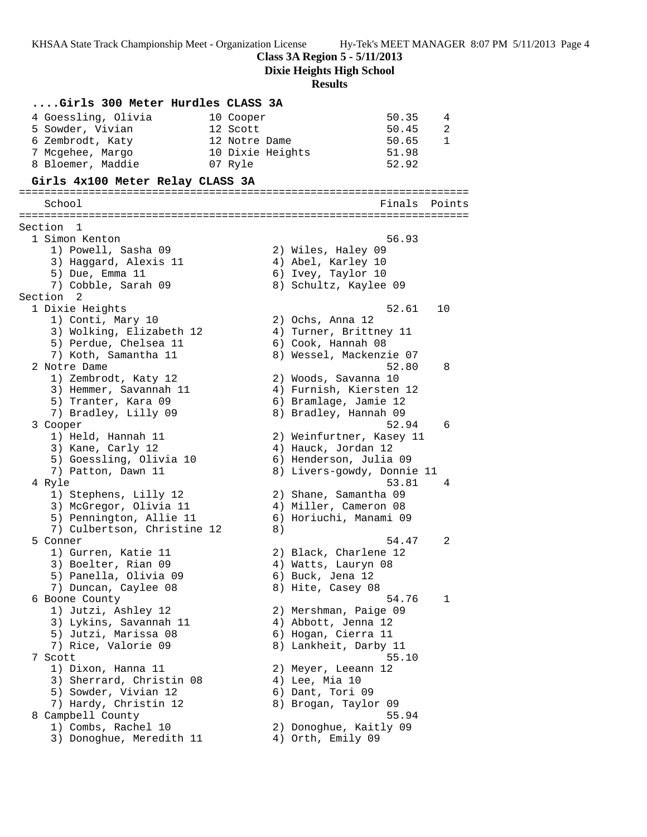**Class 3A Region 5 - 5/11/2013**

**Dixie Heights High School**

# **Results**

| Girls 300 Meter Hurdles CLASS 3A                       |                                            |              |
|--------------------------------------------------------|--------------------------------------------|--------------|
| 4 Goessling, Olivia                                    | 50.35<br>10 Cooper                         | 4            |
| 5 Sowder, Vivian                                       | 12 Scott<br>50.45                          | 2            |
| 6 Zembrodt, Katy                                       | 50.65<br>12 Notre Dame                     | $\mathbf{1}$ |
| 7 Mcgehee, Margo                                       | 51.98<br>10 Dixie Heights                  |              |
| 8 Bloemer, Maddie                                      | 52.92<br>07 Ryle                           |              |
| Girls 4x100 Meter Relay CLASS 3A                       |                                            |              |
| School                                                 | Finals                                     | Points       |
|                                                        |                                            |              |
| Section 1                                              |                                            |              |
| 1 Simon Kenton                                         | 56.93                                      |              |
| 1) Powell, Sasha 09                                    | 2) Wiles, Haley 09                         |              |
| 3) Haggard, Alexis 11                                  | 4) Abel, Karley 10                         |              |
| 5) Due, Emma 11                                        | 6) Ivey, Taylor 10                         |              |
| 7) Cobble, Sarah 09                                    | 8) Schultz, Kaylee 09                      |              |
| Section 2                                              |                                            |              |
| 1 Dixie Heights                                        | 52.61                                      | 10           |
| 1) Conti, Mary 10<br>3) Wolking, Elizabeth 12          | 2) Ochs, Anna 12<br>4) Turner, Brittney 11 |              |
| 5) Perdue, Chelsea 11                                  | 6) Cook, Hannah 08                         |              |
| 7) Koth, Samantha 11                                   | 8) Wessel, Mackenzie 07                    |              |
| 2 Notre Dame                                           | 52.80                                      | 8            |
| 1) Zembrodt, Katy 12                                   | 2) Woods, Savanna 10                       |              |
| 3) Hemmer, Savannah 11                                 | 4) Furnish, Kiersten 12                    |              |
| 5) Tranter, Kara 09                                    | 6) Bramlage, Jamie 12                      |              |
| 7) Bradley, Lilly 09                                   | 8) Bradley, Hannah 09                      |              |
| 3 Cooper                                               | 52.94                                      | 6            |
| 1) Held, Hannah 11                                     | 2) Weinfurtner, Kasey 11                   |              |
| 3) Kane, Carly 12                                      | 4) Hauck, Jordan 12                        |              |
| 5) Goessling, Olivia 10                                | 6) Henderson, Julia 09                     |              |
| 7) Patton, Dawn 11                                     | 8) Livers-gowdy, Donnie 11                 |              |
| 4 Ryle                                                 | 53.81                                      | 4            |
| 1) Stephens, Lilly 12                                  | 2) Shane, Samantha 09                      |              |
| 3) McGregor, Olivia 11                                 | 4) Miller, Cameron 08                      |              |
| 5) Pennington, Allie 11<br>7) Culbertson, Christine 12 | 6) Horiuchi, Manami 09<br>8)               |              |
| 5 Conner                                               | 54.47                                      | 2            |
| 1) Gurren, Katie 11                                    | 2) Black, Charlene 12                      |              |
| 3) Boelter, Rian 09                                    | 4) Watts, Lauryn 08                        |              |
| 5) Panella, Olivia 09                                  | 6) Buck, Jena 12                           |              |
| 7) Duncan, Caylee 08                                   | 8) Hite, Casey 08                          |              |
| 6 Boone County                                         | 54.76                                      | 1            |
| 1) Jutzi, Ashley 12                                    | 2) Mershman, Paige 09                      |              |
| 3) Lykins, Savannah 11                                 | 4) Abbott, Jenna 12                        |              |
| 5) Jutzi, Marissa 08                                   | 6) Hogan, Cierra 11                        |              |
| 7) Rice, Valorie 09                                    | 8) Lankheit, Darby 11                      |              |
| 7 Scott                                                | 55.10                                      |              |
| 1) Dixon, Hanna 11                                     | 2) Meyer, Leeann 12                        |              |
| 3) Sherrard, Christin 08                               | 4) Lee, Mia 10                             |              |
| 5) Sowder, Vivian 12                                   | 6) Dant, Tori 09                           |              |
| 7) Hardy, Christin 12                                  | 8) Brogan, Taylor 09                       |              |
| 8 Campbell County                                      | 55.94                                      |              |
| 1) Combs, Rachel 10                                    | 2) Donoghue, Kaitly 09                     |              |
| 3) Donoghue, Meredith 11                               | 4) Orth, Emily 09                          |              |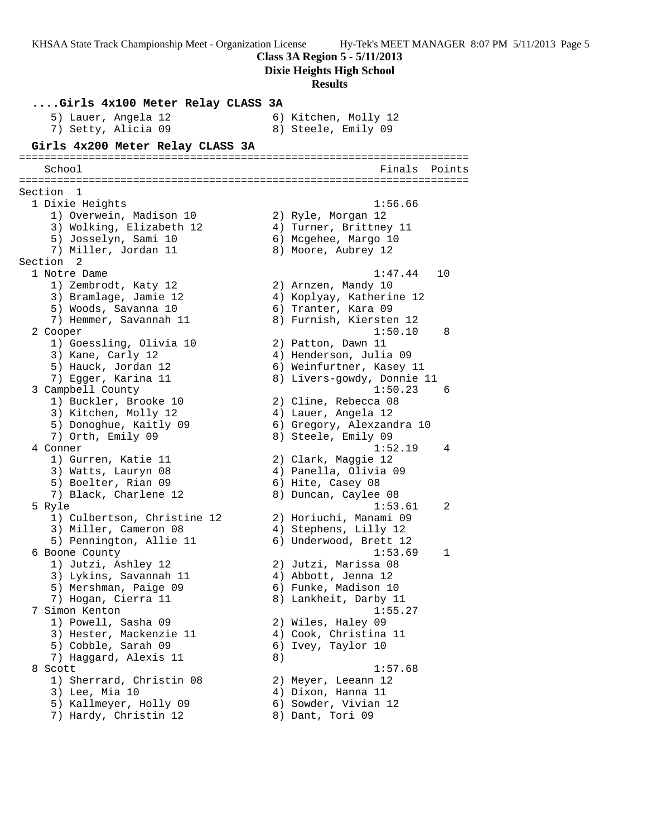**Class 3A Region 5 - 5/11/2013**

**Dixie Heights High School**

#### **Results**

**....Girls 4x100 Meter Relay CLASS 3A** 5) Lauer, Angela 12 (6) Kitchen, Molly 12 7) Setty, Alicia 09 8) Steele, Emily 09 **Girls 4x200 Meter Relay CLASS 3A** ======================================================================= School **Finals Points** ======================================================================= Section 1 1 Dixie Heights 1:56.66 1) Overwein, Madison 10 2) Ryle, Morgan 12 3) Wolking, Elizabeth 12 4) Turner, Brittney 11 5) Josselyn, Sami 10 6) Mcgehee, Margo 10 7) Miller, Jordan 11 8) Moore, Aubrey 12 Section 2<br>1 Notre Dame 1 Notre Dame 1:47.44 10 1) Zembrodt, Katy 12 2) Arnzen, Mandy 10 3) Bramlage, Jamie 12 4) Koplyay, Katherine 12 5) Woods, Savanna 10 (6) Tranter, Kara 09 7) Hemmer, Savannah 11 8) Furnish, Kiersten 12 2 Cooper 1:50.10 8 1) Goessling, Olivia 10 2) Patton, Dawn 11 3) Kane, Carly 12 4) Henderson, Julia 09 5) Hauck, Jordan 12 6) Weinfurtner, Kasey 11 7) Egger, Karina 11 8) Livers-gowdy, Donnie 11 3 Campbell County 1:50.23 6 1) Buckler, Brooke 10 2) Cline, Rebecca 08 3) Kitchen, Molly 12 (4) Lauer, Angela 12 5) Donoghue, Kaitly 09 6) Gregory, Alexzandra 10 7) Orth, Emily 09 8) Steele, Emily 09 4 Conner 1:52.19 4 1) Gurren, Katie 11 2) Clark, Maggie 12 3) Watts, Lauryn 08 4) Panella, Olivia 09 5) Boelter, Rian 09 6) Hite, Casey 08 7) Black, Charlene 12 8) Duncan, Caylee 08 5 Ryle 1:53.61 2 1) Culbertson, Christine 12 2) Horiuchi, Manami 09 3) Miller, Cameron 08 4) Stephens, Lilly 12 5) Pennington, Allie 11 6) Underwood, Brett 12 6 Boone County 1:53.69 1 1) Jutzi, Ashley 12 2) Jutzi, Marissa 08 3) Lykins, Savannah 11 4) Abbott, Jenna 12 5) Mershman, Paige 09 6) Funke, Madison 10 7) Hogan, Cierra 11 8) Lankheit, Darby 11 7 Simon Kenton 1:55.27 1) Powell, Sasha 09 2) Wiles, Haley 09 3) Hester, Mackenzie 11 4) Cook, Christina 11 5) Cobble, Sarah 09 6) Ivey, Taylor 10 7) Haggard, Alexis 11 (8) 8 Scott 1:57.68 1) Sherrard, Christin 08 2) Meyer, Leeann 12 3) Lee, Mia 10 4) Dixon, Hanna 11 5) Kallmeyer, Holly 09 6) Sowder, Vivian 12 7) Hardy, Christin 12 8) Dant, Tori 09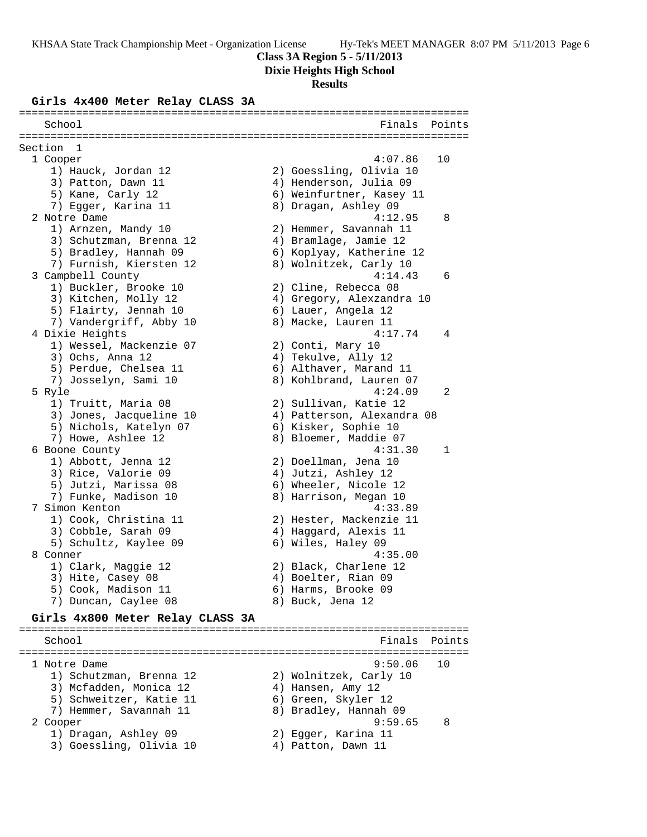## **Class 3A Region 5 - 5/11/2013**

**Dixie Heights High School**

#### **Results**

#### **Girls 4x400 Meter Relay CLASS 3A**

======================================================================= School **Finals** Points ======================================================================= Section 1 1 Cooper 4:07.86 10 1) Hauck, Jordan 12 2) Goessling, Olivia 10 3) Patton, Dawn 11 4) Henderson, Julia 09 5) Kane, Carly 12 6) Weinfurtner, Kasey 11 7) Egger, Karina 11 8) Dragan, Ashley 09 2 Notre Dame 4:12.95 8 1) Arnzen, Mandy 10 2) Hemmer, Savannah 11 3) Schutzman, Brenna 12 4) Bramlage, Jamie 12 5) Bradley, Hannah 09 6) Koplyay, Katherine 12 7) Furnish, Kiersten 12 8) Wolnitzek, Carly 10 3 Campbell County 4:14.43 6 1) Buckler, Brooke 10 (2) Cline, Rebecca 08 3) Kitchen, Molly 12 4) Gregory, Alexzandra 10 5) Flairty, Jennah 10  $\qquad \qquad$  6) Lauer, Angela 12 7) Vandergriff, Abby 10 8) Macke, Lauren 11 4 Dixie Heights 4:17.74 4 1) Wessel, Mackenzie 07 2) Conti, Mary 10 3) Ochs, Anna 12 (4) Tekulve, Ally 12 5) Perdue, Chelsea 11 (6) Althaver, Marand 11 7) Josselyn, Sami 10 8) Kohlbrand, Lauren 07 5 Ryle 4:24.09 2 1) Truitt, Maria 08 2) Sullivan, Katie 12 3) Jones, Jacqueline 10 4) Patterson, Alexandra 08 5) Nichols, Katelyn 07 (6) Kisker, Sophie 10 7) Howe, Ashlee 12 8) Bloemer, Maddie 07 6 Boone County 4:31.30 1 1) Abbott, Jenna 12 2) Doellman, Jena 10 3) Rice, Valorie 09 4) Jutzi, Ashley 12 5) Jutzi, Marissa 08 6) Wheeler, Nicole 12 7) Funke, Madison 10 8) Harrison, Megan 10 7 Simon Kenton 4:33.89 1) Cook, Christina 11 2) Hester, Mackenzie 11 3) Cobble, Sarah 09 4) Haggard, Alexis 11 5) Schultz, Kaylee 09 6) Wiles, Haley 09 8 Conner 4:35.00 1) Clark, Maggie 12 2) Black, Charlene 12 3) Hite, Casey 08 4) Boelter, Rian 09 5) Cook, Madison 11 6) Harms, Brooke 09 7) Duncan, Caylee 08 8) Buck, Jena 12

#### **Girls 4x800 Meter Relay CLASS 3A** =======================================================================

School **Finals** Points ======================================================================= 1 Notre Dame 9:50.06 10 1) Schutzman, Brenna 12 2) Wolnitzek, Carly 10 3) Mcfadden, Monica 12 (4) Hansen, Amy 12 5) Schweitzer, Katie 11  $\qquad \qquad$  6) Green, Skyler 12 7) Hemmer, Savannah 11 8) Bradley, Hannah 09 2 Cooper 9:59.65 8 1) Dragan, Ashley 09 2) Egger, Karina 11 3) Goessling, Olivia 10 (4) Patton, Dawn 11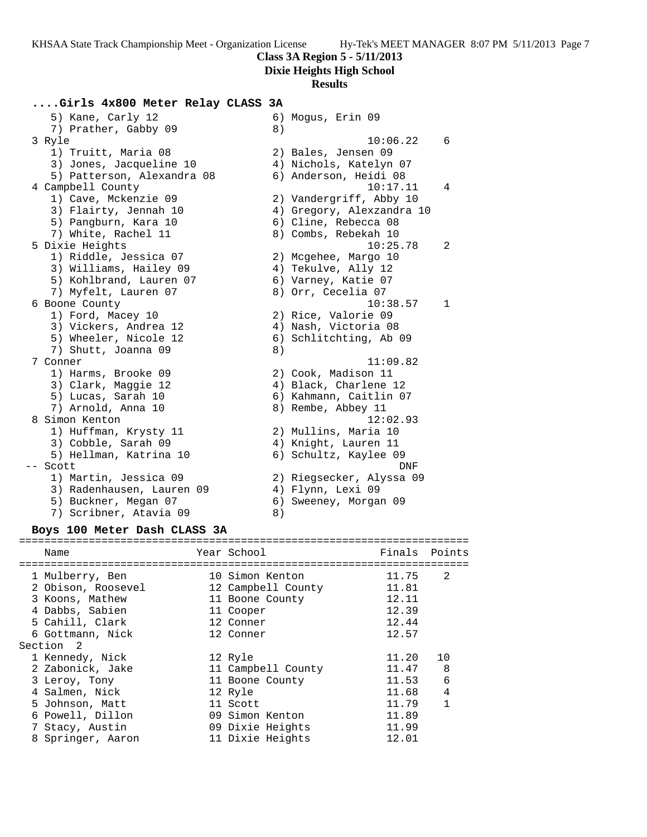**Class 3A Region 5 - 5/11/2013**

**Dixie Heights High School**

#### **Results**

#### **....Girls 4x800 Meter Relay CLASS 3A**

5) Kane, Carly 12 6) Mogus, Erin 09 7) Prather, Gabby 09 8) 3 Ryle 10:06.22 6 1) Truitt, Maria 08 2) Bales, Jensen 09 3) Jones, Jacqueline 10 4) Nichols, Katelyn 07 5) Patterson, Alexandra 08 6) Anderson, Heidi 08 4 Campbell County 10:17.11 4 1) Cave, Mckenzie 09 2) Vandergriff, Abby 10 3) Flairty, Jennah 10 4) Gregory, Alexzandra 10 5) Pangburn, Kara 10 (6) Cline, Rebecca 08 7) White, Rachel 11 8) Combs, Rebekah 10 5 Dixie Heights 10:25.78 2 1) Riddle, Jessica 07 2) Mcgehee, Margo 10 3) Williams, Hailey 09  $\hskip1cm$  4) Tekulve, Ally 12 5) Kohlbrand, Lauren 07 6) Varney, Katie 07 7) Myfelt, Lauren 07 8) Orr, Cecelia 07 6 Boone County 10:38.57 1 1) Ford, Macey 10 2) Rice, Valorie 09 3) Vickers, Andrea 12 (4) Nash, Victoria 08 5) Wheeler, Nicole 12 6) Schlitchting, Ab 09 7) Shutt, Joanna 09 8) 7 Conner 11:09.82 1) Harms, Brooke 09 2) Cook, Madison 11 3) Clark, Maggie 12 4) Black, Charlene 12 5) Lucas, Sarah 10 6) Kahmann, Caitlin 07 7) Arnold, Anna 10 8) Rembe, Abbey 11 8 Simon Kenton 12:02.93 1) Huffman, Krysty 11 2) Mullins, Maria 10 3) Cobble, Sarah 09 (4) Knight, Lauren 11 5) Hellman, Katrina 10 6) Schultz, Kaylee 09 -- Scott DNF 1) Martin, Jessica 09 2) Riegsecker, Alyssa 09 3) Radenhausen, Lauren 09 4) Flynn, Lexi 09 5) Buckner, Megan 07 6) Sweeney, Morgan 09 7) Scribner, Atavia 09 8)

#### **Boys 100 Meter Dash CLASS 3A**

### ======================================================================= Name The Year School Team Points Points ======================================================================= 1 Mulberry, Ben 10 Simon Kenton 11.75 2 2 Obison, Roosevel 12 Campbell County 11.81 3 Koons, Mathew 11 Boone County 12.11 4 Dabbs, Sabien 11 Cooper 12.39 5 Cahill, Clark 12 Conner 12.44 6 Gottmann, Nick 12 Conner 12.57 Section 2 1 Kennedy, Nick 12 Ryle 11.20 10 2 Zabonick, Jake 11 Campbell County 11.47 8 3 Leroy, Tony 11 Boone County 11.53 6 4 Salmen, Nick 12 Ryle 11.68 4 5 Johnson, Matt 11 Scott 11.79 1 6 Powell, Dillon 09 Simon Kenton 11.89 7 Stacy, Austin 09 Dixie Heights 11.99 8 Springer, Aaron 11 Dixie Heights 12.01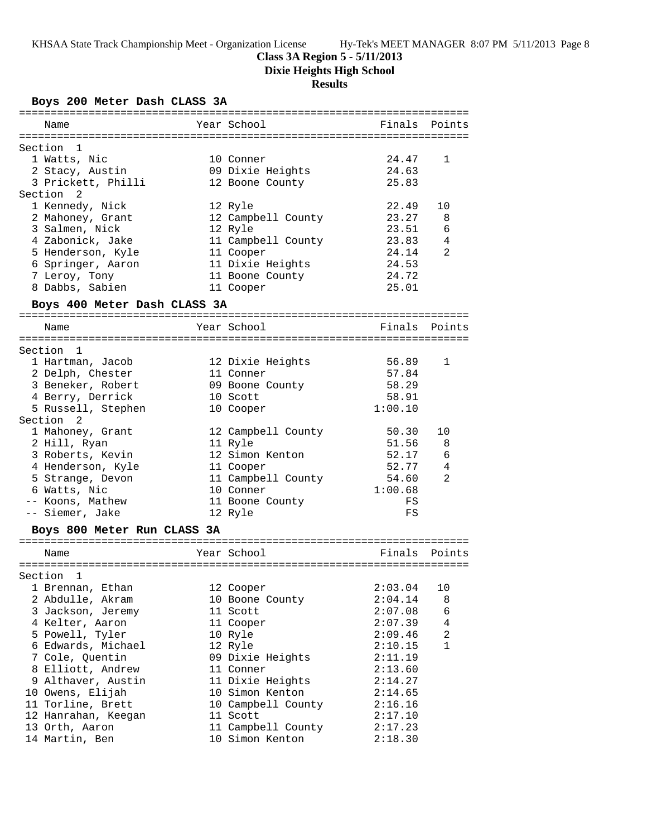## **Class 3A Region 5 - 5/11/2013**

**Dixie Heights High School**

# **Results**

## **Boys 200 Meter Dash CLASS 3A**

| ===========                  |                    |         |                |
|------------------------------|--------------------|---------|----------------|
| Name                         | Year School        | Finals  | Points         |
|                              |                    |         |                |
| Section<br>1                 |                    |         |                |
| 1 Watts, Nic                 | 10 Conner          | 24.47   | 1              |
| 2 Stacy, Austin              | 09 Dixie Heights   | 24.63   |                |
| 3 Prickett, Philli           | 12 Boone County    | 25.83   |                |
| Section<br>2                 |                    |         |                |
| 1 Kennedy, Nick              | 12 Ryle            | 22.49   | 10             |
| 2 Mahoney, Grant             | 12 Campbell County | 23.27   | 8              |
| 3 Salmen, Nick               | 12 Ryle            | 23.51   | 6              |
| 4 Zabonick, Jake             | 11 Campbell County | 23.83   | 4              |
| 5 Henderson, Kyle            | 11 Cooper          | 24.14   | 2              |
| 6 Springer, Aaron            | 11 Dixie Heights   | 24.53   |                |
| 7 Leroy, Tony                | 11 Boone County    | 24.72   |                |
| 8 Dabbs, Sabien              | 11 Cooper          | 25.01   |                |
| Boys 400 Meter Dash CLASS 3A |                    |         |                |
| Name                         | Year School        | Finals  | Points         |
|                              |                    |         |                |
| Section<br>$\mathbf{1}$      |                    |         |                |
| 1 Hartman, Jacob             | 12 Dixie Heights   | 56.89   | 1              |
| 2 Delph, Chester             | 11 Conner          | 57.84   |                |
| 3 Beneker, Robert            | 09 Boone County    | 58.29   |                |
| 4 Berry, Derrick             | 10 Scott           | 58.91   |                |
| 5 Russell, Stephen           | 10 Cooper          | 1:00.10 |                |
| Section<br>-2                |                    |         |                |
| 1 Mahoney, Grant             | 12 Campbell County | 50.30   | 10             |
| 2 Hill, Ryan                 | 11 Ryle            | 51.56   | 8              |
| 3 Roberts, Kevin             | 12 Simon Kenton    | 52.17   | 6              |
| 4 Henderson, Kyle            | 11 Cooper          | 52.77   | 4              |
| 5 Strange, Devon             | 11 Campbell County | 54.60   | 2              |
| 6 Watts, Nic                 | 10 Conner          | 1:00.68 |                |
| -- Koons, Mathew             | 11 Boone County    | FS      |                |
| -- Siemer, Jake              | 12 Ryle            | FS      |                |
| Boys 800 Meter Run CLASS 3A  |                    |         |                |
|                              |                    |         |                |
| Name                         | Year School        | Finals  | Points         |
| :=======================     |                    |         |                |
| Section<br>1                 |                    |         |                |
| 1 Brennan, Ethan             | 12 Cooper          | 2:03.04 | 10             |
| 2 Abdulle, Akram             | 10 Boone County    | 2:04.14 | 8              |
| 3 Jackson, Jeremy            | 11 Scott           | 2:07.08 | 6              |
| 4 Kelter, Aaron              | 11 Cooper          | 2:07.39 | $\overline{4}$ |
| 5 Powell, Tyler              | 10 Ryle            | 2:09.46 | $\overline{a}$ |
| 6 Edwards, Michael           | 12 Ryle            | 2:10.15 | $\mathbf{1}$   |
| 7 Cole, Quentin              | 09 Dixie Heights   | 2:11.19 |                |
| 8 Elliott, Andrew            | 11 Conner          | 2:13.60 |                |
| 9 Althaver, Austin           | 11 Dixie Heights   | 2:14.27 |                |
| 10 Owens, Elijah             | 10 Simon Kenton    | 2:14.65 |                |
| 11 Torline, Brett            | 10 Campbell County | 2:16.16 |                |
| 12 Hanrahan, Keegan          | 11 Scott           | 2:17.10 |                |
| 13 Orth, Aaron               | 11 Campbell County | 2:17.23 |                |
| 14 Martin, Ben               | 10 Simon Kenton    | 2:18.30 |                |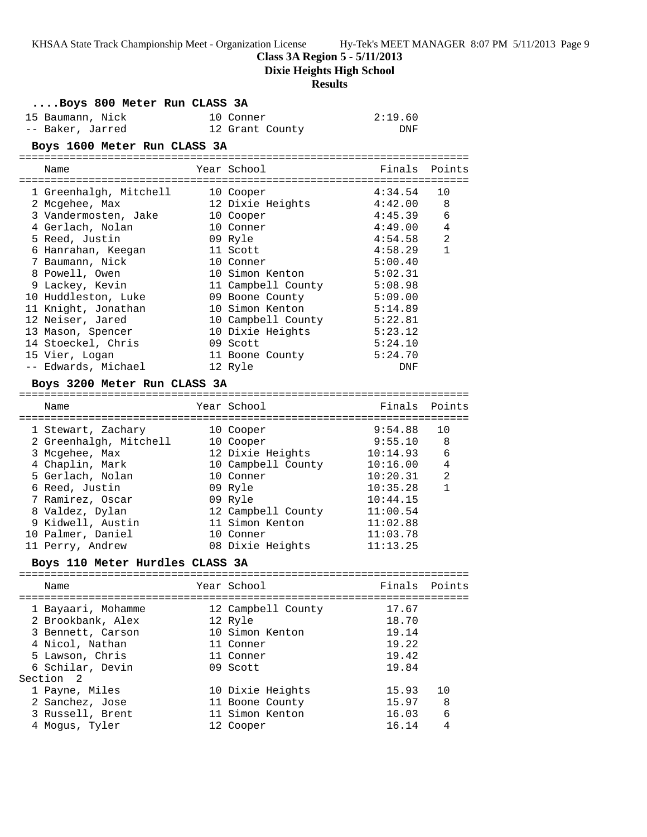**Class 3A Region 5 - 5/11/2013**

**Dixie Heights High School**

# **Results**

| Boys 800 Meter Run CLASS 3A |                                       |  |                    |            |                |
|-----------------------------|---------------------------------------|--|--------------------|------------|----------------|
|                             | 15 Baumann, Nick                      |  | 10 Conner          | 2:19.60    |                |
|                             | -- Baker, Jarred                      |  | 12 Grant County    | <b>DNF</b> |                |
|                             | Boys 1600 Meter Run CLASS 3A          |  |                    |            |                |
|                             |                                       |  |                    |            |                |
|                             | Name                                  |  | Year School        | Finals     | Points         |
|                             |                                       |  |                    |            |                |
|                             | 1 Greenhalgh, Mitchell                |  | 10 Cooper          | 4:34.54    | 10             |
|                             | 2 Mcgehee, Max                        |  | 12 Dixie Heights   | 4:42.00    | 8              |
|                             | 3 Vandermosten, Jake                  |  | 10 Cooper          | 4:45.39    | 6              |
|                             | 4 Gerlach, Nolan                      |  | 10 Conner          | 4:49.00    | 4              |
|                             | 5 Reed, Justin                        |  | 09 Ryle            | 4:54.58    | 2              |
|                             | 6 Hanrahan, Keegan                    |  | 11 Scott           | 4:58.29    | 1              |
|                             | 7 Baumann, Nick                       |  | 10 Conner          | 5:00.40    |                |
|                             | 8 Powell, Owen                        |  | 10 Simon Kenton    | 5:02.31    |                |
|                             | 9 Lackey, Kevin                       |  | 11 Campbell County | 5:08.98    |                |
|                             | 10 Huddleston, Luke                   |  | 09 Boone County    | 5:09.00    |                |
|                             | 11 Knight, Jonathan                   |  | 10 Simon Kenton    | 5:14.89    |                |
|                             | 12 Neiser, Jared                      |  | 10 Campbell County | 5:22.81    |                |
|                             | 13 Mason, Spencer                     |  | 10 Dixie Heights   | 5:23.12    |                |
|                             | 14 Stoeckel, Chris                    |  | 09 Scott           | 5:24.10    |                |
|                             | 15 Vier, Logan<br>-- Edwards, Michael |  | 11 Boone County    | 5:24.70    |                |
|                             |                                       |  | 12 Ryle            | DNF        |                |
|                             | Boys 3200 Meter Run CLASS 3A          |  |                    |            |                |
|                             | Name                                  |  | Year School        | Finals     | Points         |
|                             |                                       |  |                    |            |                |
|                             | 1 Stewart, Zachary                    |  | 10 Cooper          | 9:54.88    | 10             |
|                             | 2 Greenhalgh, Mitchell                |  | 10 Cooper          | 9:55.10    | 8              |
|                             | 3 Mcgehee, Max                        |  | 12 Dixie Heights   | 10:14.93   | 6              |
|                             | 4 Chaplin, Mark                       |  | 10 Campbell County | 10:16.00   | 4              |
|                             | 5 Gerlach, Nolan                      |  | 10 Conner          | 10:20.31   | $\overline{a}$ |
|                             | 6 Reed, Justin                        |  | 09 Ryle            | 10:35.28   | $\mathbf{1}$   |
|                             | 7 Ramirez, Oscar                      |  | 09 Ryle            | 10:44.15   |                |
|                             | 8 Valdez, Dylan                       |  | 12 Campbell County | 11:00.54   |                |
|                             | 9 Kidwell, Austin                     |  | 11 Simon Kenton    | 11:02.88   |                |
|                             | 10 Palmer, Daniel                     |  | 10 Conner          | 11:03.78   |                |
|                             | 11 Perry, Andrew                      |  | 08 Dixie Heights   | 11:13.25   |                |
|                             | Boys 110 Meter Hurdles CLASS 3A       |  |                    |            |                |
|                             | Name                                  |  | Year School        | Finals     | Points         |
|                             |                                       |  |                    |            |                |
|                             | 1 Bayaari, Mohamme                    |  | 12 Campbell County | 17.67      |                |
|                             | 2 Brookbank, Alex                     |  | 12 Ryle            | 18.70      |                |
|                             | 3 Bennett, Carson                     |  | 10 Simon Kenton    | 19.14      |                |
|                             | 4 Nicol, Nathan                       |  | 11 Conner          | 19.22      |                |
|                             | 5 Lawson, Chris                       |  | 11 Conner          | 19.42      |                |
|                             | 6 Schilar, Devin                      |  | 09 Scott           | 19.84      |                |
|                             | Section<br>2                          |  |                    |            |                |
|                             | 1 Payne, Miles                        |  | 10 Dixie Heights   | 15.93      | 10             |
|                             | 2 Sanchez, Jose                       |  | 11 Boone County    | 15.97      | 8              |
|                             | 3 Russell, Brent                      |  | 11 Simon Kenton    | 16.03      | 6              |
|                             | 4 Mogus, Tyler                        |  | 12 Cooper          | 16.14      | 4              |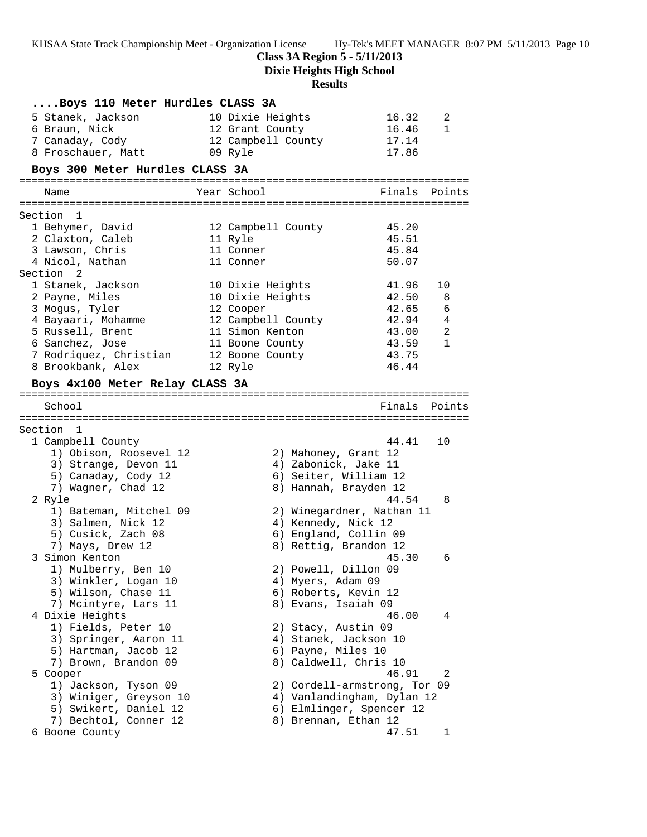**Class 3A Region 5 - 5/11/2013**

**Dixie Heights High School**

# **Results**

| Boys 110 Meter Hurdles CLASS 3A          |                                              |        |              |
|------------------------------------------|----------------------------------------------|--------|--------------|
| 5 Stanek, Jackson                        | 10 Dixie Heights                             | 16.32  | 2            |
| 6 Braun, Nick                            | 12 Grant County                              | 16.46  | 1            |
| 7 Canaday, Cody                          | 12 Campbell County                           | 17.14  |              |
| 8 Froschauer, Matt                       | 09 Ryle                                      | 17.86  |              |
| Boys 300 Meter Hurdles CLASS 3A          |                                              |        |              |
| Name                                     | Year School                                  | Finals | Points       |
|                                          |                                              |        |              |
| Section 1                                |                                              |        |              |
| 1 Behymer, David                         | 12 Campbell County                           | 45.20  |              |
| 2 Claxton, Caleb                         | 11 Ryle                                      | 45.51  |              |
| 3 Lawson, Chris                          | 11 Conner                                    | 45.84  |              |
| 4 Nicol, Nathan<br>Section 2             | 11 Conner                                    | 50.07  |              |
| 1 Stanek, Jackson                        | 10 Dixie Heights                             | 41.96  | 10           |
| 2 Payne, Miles                           | 10 Dixie Heights                             | 42.50  | 8            |
| 3 Mogus, Tyler                           | 12 Cooper                                    | 42.65  | 6            |
| 4 Bayaari, Mohamme                       | 12 Campbell County                           | 42.94  | 4            |
| 5 Russell, Brent                         | 11 Simon Kenton                              | 43.00  | 2            |
| 6 Sanchez, Jose                          | 11 Boone County                              | 43.59  | $\mathbf{1}$ |
| 7 Rodriquez, Christian                   | 12 Boone County                              | 43.75  |              |
| 8 Brookbank, Alex                        | 12 Ryle                                      | 46.44  |              |
| Boys 4x100 Meter Relay CLASS 3A          |                                              |        |              |
|                                          |                                              |        |              |
| School                                   |                                              | Finals | Points       |
|                                          |                                              |        |              |
| Section 1                                |                                              |        |              |
| 1 Campbell County                        |                                              | 44.41  | 10           |
| 1) Obison, Roosevel 12                   | 2) Mahoney, Grant 12                         |        |              |
| 3) Strange, Devon 11                     | 4) Zabonick, Jake 11                         |        |              |
| 5) Canaday, Cody 12                      | 6) Seiter, William 12                        |        |              |
| 7) Wagner, Chad 12                       | 8) Hannah, Brayden 12                        |        |              |
| 2 Ryle                                   |                                              | 44.54  | 8            |
| 1) Bateman, Mitchel 09                   | 2) Winegardner, Nathan 11                    |        |              |
| 3) Salmen, Nick 12<br>5) Cusick, Zach 08 | 4) Kennedy, Nick 12<br>6) England, Collin 09 |        |              |
| 7) Mays, Drew 12                         | 8) Rettig, Brandon 12                        |        |              |
| 3 Simon Kenton                           |                                              | 45.30  | 6            |
| 1) Mulberry, Ben 10                      | 2) Powell, Dillon 09                         |        |              |
| 3) Winkler, Logan 10                     | 4) Myers, Adam 09                            |        |              |
| 5) Wilson, Chase 11                      | 6) Roberts, Kevin 12                         |        |              |
| 7) Mcintyre, Lars 11                     | 8) Evans, Isaiah 09                          |        |              |
| 4 Dixie Heights                          |                                              | 46.00  | 4            |
| 1) Fields, Peter 10                      | 2) Stacy, Austin 09                          |        |              |
| 3) Springer, Aaron 11                    | 4) Stanek, Jackson 10                        |        |              |
| 5) Hartman, Jacob 12                     | 6) Payne, Miles 10                           |        |              |
| 7) Brown, Brandon 09                     | 8) Caldwell, Chris 10                        |        |              |
| 5 Cooper                                 |                                              | 46.91  | 2            |
| 1) Jackson, Tyson 09                     | 2) Cordell-armstrong, Tor 09                 |        |              |
| 3) Winiger, Greyson 10                   | 4) Vanlandingham, Dylan 12                   |        |              |
| 5) Swikert, Daniel 12                    | 6) Elmlinger, Spencer 12                     |        |              |
| 7) Bechtol, Conner 12                    | 8) Brennan, Ethan 12                         | 47.51  |              |
| 6 Boone County                           |                                              |        | ı            |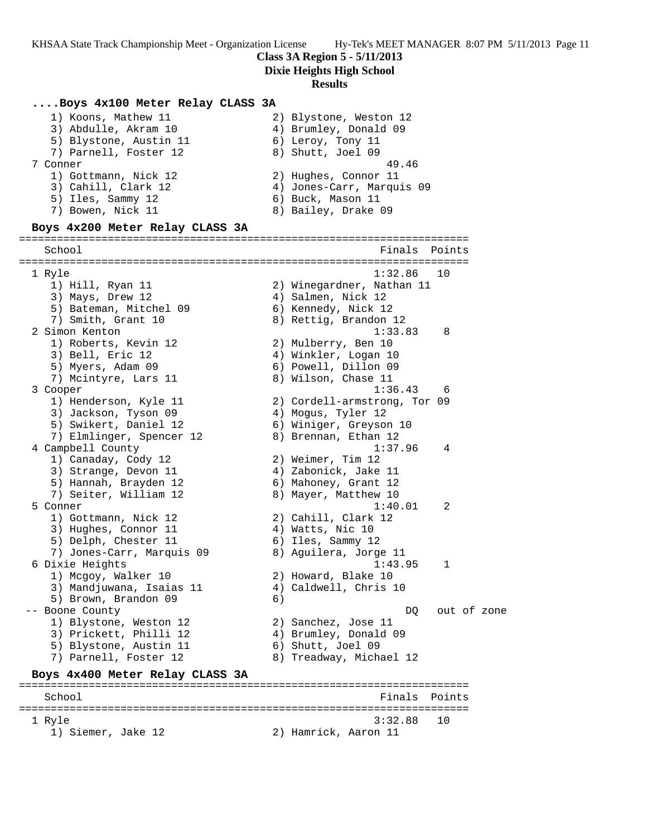#### **Class 3A Region 5 - 5/11/2013**

**Dixie Heights High School**

#### **Results**

### **....Boys 4x100 Meter Relay CLASS 3A**

| 1) Koons, Mathew 11             | 2) Blystone, Weston 12    |
|---------------------------------|---------------------------|
| 3) Abdulle, Akram 10            | 4) Brumley, Donald 09     |
| 5) Blystone, Austin 11          | 6) Leroy, Tony 11         |
| 7) Parnell, Foster 12           | 8) Shutt, Joel 09         |
| 7 Conner                        | 49.46                     |
| 1) Gottmann, Nick 12            | 2) Hughes, Connor 11      |
| 3) Cahill, Clark 12             | 4) Jones-Carr, Marquis 09 |
| 5) Iles, Sammy 12               | 6) Buck, Mason 11         |
| 7) Bowen, Nick 11               | 8) Bailey, Drake 09       |
| Boys 4x200 Meter Relay CLASS 3A |                           |

======================================================================= School **Finals Points** ======================================================================= 1 Ryle 1:32.86 10 1) Hill, Ryan 11 2) Winegardner, Nathan 11 3) Mays, Drew 12 4) Salmen, Nick 12 5) Bateman, Mitchel 09 6) Kennedy, Nick 12 7) Smith, Grant 10 8) Rettig, Brandon 12 2 Simon Kenton 1:33.83 8 1) Roberts, Kevin 12 2) Mulberry, Ben 10 3) Bell, Eric 12 (4) Winkler, Logan 10 5) Myers, Adam 09 6) Powell, Dillon 09 7) Mcintyre, Lars 11 and 8) Wilson, Chase 11 3 Cooper 1:36.43 6 1) Henderson, Kyle 11 2) Cordell-armstrong, Tor 09 3) Jackson, Tyson 09 4) Mogus, Tyler 12 5) Swikert, Daniel 12 6) Winiger, Greyson 10 7) Elmlinger, Spencer 12 8) Brennan, Ethan 12 4 Campbell County 1:37.96 4 1) Canaday, Cody 12 2) Weimer, Tim 12 3) Strange, Devon 11 4) Zabonick, Jake 11 5) Hannah, Brayden 12 6) Mahoney, Grant 12 7) Seiter, William 12 68) Mayer, Matthew 10 5 Conner 1:40.01 2 1) Gottmann, Nick 12 2) Cahill, Clark 12 3) Hughes, Connor 11 4) Watts, Nic 10 5) Delph, Chester 11 6) Iles, Sammy 12 7) Jones-Carr, Marquis 09 8) Aguilera, Jorge 11 6 Dixie Heights 1:43.95 1 1) Mcgoy, Walker 10 2) Howard, Blake 10 3) Mandjuwana, Isaias 11 4) Caldwell, Chris 10 5) Brown, Brandon 09 6) -- Boone County and the control of the control of zone of zone  $DQ$  out of zone 1) Blystone, Weston 12 2) Sanchez, Jose 11 3) Prickett, Philli 12 4) Brumley, Donald 09 5) Blystone, Austin 11 (6) Shutt, Joel 09 7) Parnell, Foster 12 8) Treadway, Michael 12 **Boys 4x400 Meter Relay CLASS 3A** ======================================================================= School **Finals** Points =======================================================================

1 Ryle 3:32.88 10

1) Siemer, Jake 12 2) Hamrick, Aaron 11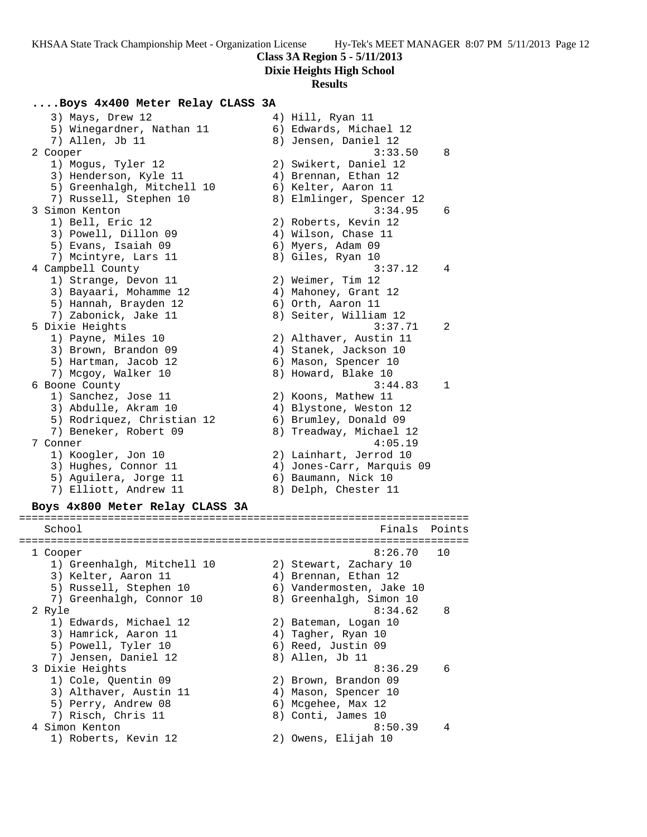## **Class 3A Region 5 - 5/11/2013**

**Dixie Heights High School**

#### **Results**

#### **....Boys 4x400 Meter Relay CLASS 3A**

3) Mays, Drew 12 4) Hill, Ryan 11 5) Winegardner, Nathan 11 6) Edwards, Michael 12 7) Allen, Jb 11 8) Jensen, Daniel 12 2 Cooper 3:33.50 8 1) Mogus, Tyler 12 2) Swikert, Daniel 12 3) Henderson, Kyle 11 (4) Brennan, Ethan 12 5) Greenhalgh, Mitchell 10 (6) Kelter, Aaron 11 7) Russell, Stephen 10 8) Elmlinger, Spencer 12 3 Simon Kenton 3:34.95 6 1) Bell, Eric 12 2) Roberts, Kevin 12 3) Powell, Dillon 09 4) Wilson, Chase 11 5) Evans, Isaiah 09 6) Myers, Adam 09 7) Mcintyre, Lars 11 and 8) Giles, Ryan 10 4 Campbell County 3:37.12 4 1) Strange, Devon 11 2) Weimer, Tim 12 3) Bayaari, Mohamme 12  $\hskip1cm$  4) Mahoney, Grant 12 5) Hannah, Brayden 12 (6) Orth, Aaron 11 7) Zabonick, Jake 11 8) Seiter, William 12 5 Dixie Heights 3:37.71 2 1) Payne, Miles 10 2) Althaver, Austin 11 3) Brown, Brandon 09 4) Stanek, Jackson 10 5) Hartman, Jacob 12 (6) Mason, Spencer 10 7) Mcgoy, Walker 10 8) Howard, Blake 10 6 Boone County 3:44.83 1 1) Sanchez, Jose 11 2) Koons, Mathew 11 3) Abdulle, Akram 10 4) Blystone, Weston 12 5) Rodriquez, Christian 12 6) Brumley, Donald 09 7) Beneker, Robert 09 8) Treadway, Michael 12 7 Conner 4:05.19 1) Koogler, Jon 10 2) Lainhart, Jerrod 10 3) Hughes, Connor 11 4) Jones-Carr, Marquis 09 5) Aguilera, Jorge 11 (6) Baumann, Nick 10 7) Elliott, Andrew 11 and 8) Delph, Chester 11 **Boys 4x800 Meter Relay CLASS 3A** ======================================================================= School **Finals Points** ======================================================================= 1 Cooper 8:26.70 10 1) Greenhalgh, Mitchell 10 2) Stewart, Zachary 10 3) Kelter, Aaron 11 (4) Brennan, Ethan 12 5) Russell, Stephen 10 6) Vandermosten, Jake 10 7) Greenhalgh, Connor 10 8) Greenhalgh, Simon 10 2 Ryle 8:34.62 8 1) Edwards, Michael 12 2) Bateman, Logan 10 3) Hamrick, Aaron 11 (4) Tagher, Ryan 10 5) Powell, Tyler 10 6) Reed, Justin 09 7) Jensen, Daniel 12 and 8) Allen, Jb 11 3 Dixie Heights 8:36.29 6 1) Cole, Quentin 09 2) Brown, Brandon 09 3) Althaver, Austin 11 (4) Mason, Spencer 10 5) Perry, Andrew 08 6) Mcgehee, Max 12 7) Risch, Chris 11 8) Conti, James 10 4 Simon Kenton 8:50.39 4 1) Roberts, Kevin 12 2) Owens, Elijah 10